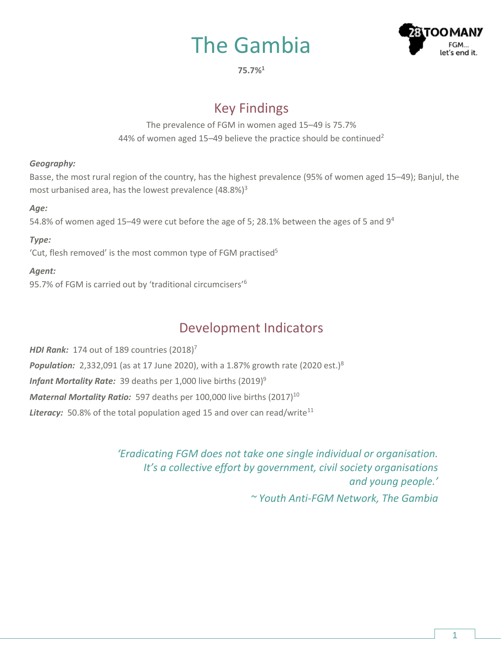# The Gambia



**75.7%<sup>1</sup>**

# Key Findings

The prevalence of FGM in women aged 15–49 is 75.7% 44% of women aged 15–49 believe the practice should be continued<sup>2</sup>

### *Geography:*

Basse, the most rural region of the country, has the highest prevalence (95% of women aged 15–49); Banjul, the most urbanised area, has the lowest prevalence  $(48.8\%)^3$ 

### *Age:*

54.8% of women aged 15–49 were cut before the age of 5; 28.1% between the ages of 5 and  $9<sup>4</sup>$ 

### *Type:*

'Cut, flesh removed' is the most common type of FGM practised<sup>5</sup>

### *Agent:*

95.7% of FGM is carried out by 'traditional circumcisers'<sup>6</sup>

# Development Indicators

*HDI Rank:* 174 out of 189 countries (2018) 7 **Population:** 2,332,091 (as at 17 June 2020), with a 1.87% growth rate (2020 est.)<sup>8</sup> *Infant Mortality Rate:* 39 deaths per 1,000 live births (2019) 9 *Maternal Mortality Ratio:* 597 deaths per 100,000 live births (2017) 10 **Literacy:** 50.8% of the total population aged 15 and over can read/write<sup>11</sup>

> *'Eradicating FGM does not take one single individual or organisation. It's a collective effort by government, civil society organisations and young people.' ~ Youth Anti-FGM Network, The Gambia*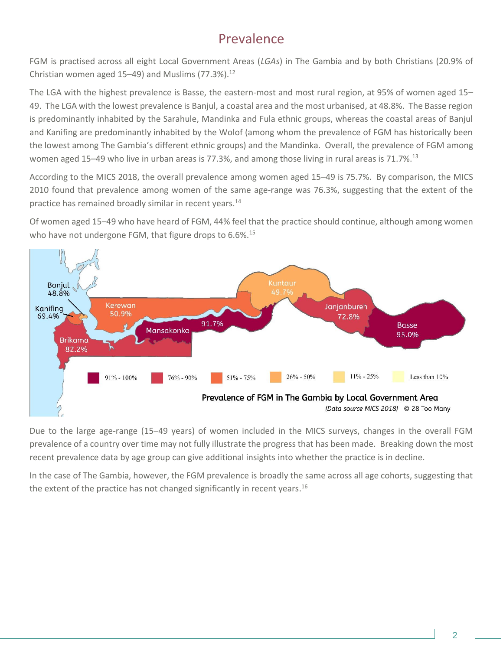# Prevalence

FGM is practised across all eight Local Government Areas (*LGAs*) in The Gambia and by both Christians (20.9% of Christian women aged 15–49) and Muslims  $(77.3\%)$ .<sup>12</sup>

The LGA with the highest prevalence is Basse, the eastern-most and most rural region, at 95% of women aged 15– 49. The LGA with the lowest prevalence is Banjul, a coastal area and the most urbanised, at 48.8%. The Basse region is predominantly inhabited by the Sarahule, Mandinka and Fula ethnic groups, whereas the coastal areas of Banjul and Kanifing are predominantly inhabited by the Wolof (among whom the prevalence of FGM has historically been the lowest among The Gambia's different ethnic groups) and the Mandinka. Overall, the prevalence of FGM among women aged 15–49 who live in urban areas is 77.3%, and among those living in rural areas is 71.7%.<sup>13</sup>

According to the MICS 2018, the overall prevalence among women aged 15–49 is 75.7%. By comparison, the MICS 2010 found that prevalence among women of the same age-range was 76.3%, suggesting that the extent of the practice has remained broadly similar in recent years.<sup>14</sup>

Of women aged 15–49 who have heard of FGM, 44% feel that the practice should continue, although among women who have not undergone FGM, that figure drops to 6.6%.<sup>15</sup>



Due to the large age-range (15–49 years) of women included in the MICS surveys, changes in the overall FGM prevalence of a country over time may not fully illustrate the progress that has been made. Breaking down the most recent prevalence data by age group can give additional insights into whether the practice is in decline.

In the case of The Gambia, however, the FGM prevalence is broadly the same across all age cohorts, suggesting that the extent of the practice has not changed significantly in recent years.<sup>16</sup>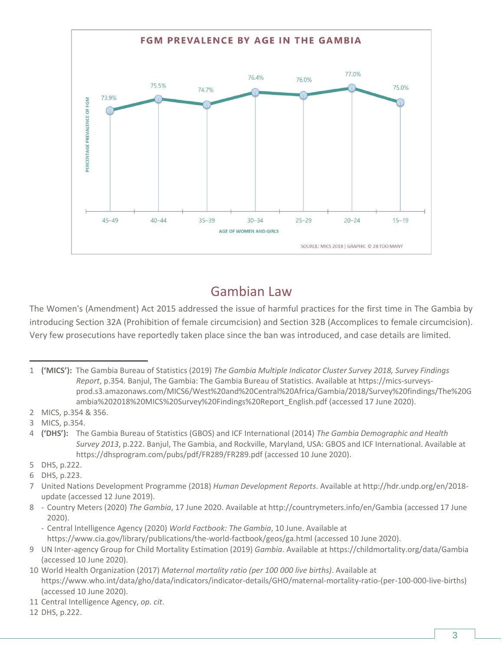

# Gambian Law

The Women's (Amendment) Act 2015 addressed the issue of harmful practices for the first time in The Gambia by introducing Section 32A (Prohibition of female circumcision) and Section 32B (Accomplices to female circumcision). Very few prosecutions have reportedly taken place since the ban was introduced, and case details are limited.

- 2 MICS, p.354 & 356.
- 3 MICS, p.354.
- 4 **('DHS'):** The Gambia Bureau of Statistics (GBOS) and ICF International (2014) *The Gambia Demographic and Health Survey 2013*, p.222. Banjul, The Gambia, and Rockville, Maryland, USA: GBOS and ICF International. Available at <https://dhsprogram.com/pubs/pdf/FR289/FR289.pdf> (accessed 10 June 2020).
- 5 DHS, p.222.
- 6 DHS, p.223.
- 7 United Nations Development Programme (2018) *Human Development Reports*. Available at [http://hdr.undp.org/en/2018](http://hdr.undp.org/en/2018-update) [update](http://hdr.undp.org/en/2018-update) (accessed 12 June 2019).
- 8 Country Meters (2020) *The Gambia*, 17 June 2020. Available at<http://countrymeters.info/en/Gambia> (accessed 17 June 2020).
	- Central Intelligence Agency (2020) *World Factbook: The Gambia*, 10 June. Available at <https://www.cia.gov/library/publications/the-world-factbook/geos/ga.html> (accessed 10 June 2020).
- 9 UN Inter-agency Group for Child Mortality Estimation (2019) *Gambia*. Available at <https://childmortality.org/data/Gambia> (accessed 10 June 2020).
- 10 World Health Organization (2017) *Maternal mortality ratio (per 100 000 live births)*. Available at [https://www.who.int/data/gho/data/indicators/indicator-details/GHO/maternal-mortality-ratio-\(per-100-000-live-births\)](https://www.who.int/data/gho/data/indicators/indicator-details/GHO/maternal-mortality-ratio-(per-100-000-live-births)) (accessed 10 June 2020).
- 11 Central Intelligence Agency, *op. cit*.
- 12 DHS, p.222.

<sup>1</sup> **('MICS'):** The Gambia Bureau of Statistics (2019) *The Gambia Multiple Indicator Cluster Survey 2018, Survey Findings Report*, p.354*.* Banjul, The Gambia: The Gambia Bureau of Statistics. Available a[t https://mics-surveys](https://mics-surveys-prod.s3.amazonaws.com/MICS6/West%20and%20Central%20Africa/Gambia/2018/Survey%20findings/The%20Gambia%202018%20MICS%20Survey%20Findings%20Report_English.pdf)[prod.s3.amazonaws.com/MICS6/West%20and%20Central%20Africa/Gambia/2018/Survey%20findings/The%20G](https://mics-surveys-prod.s3.amazonaws.com/MICS6/West%20and%20Central%20Africa/Gambia/2018/Survey%20findings/The%20Gambia%202018%20MICS%20Survey%20Findings%20Report_English.pdf) [ambia%202018%20MICS%20Survey%20Findings%20Report\\_English.pdf](https://mics-surveys-prod.s3.amazonaws.com/MICS6/West%20and%20Central%20Africa/Gambia/2018/Survey%20findings/The%20Gambia%202018%20MICS%20Survey%20Findings%20Report_English.pdf) (accessed 17 June 2020).